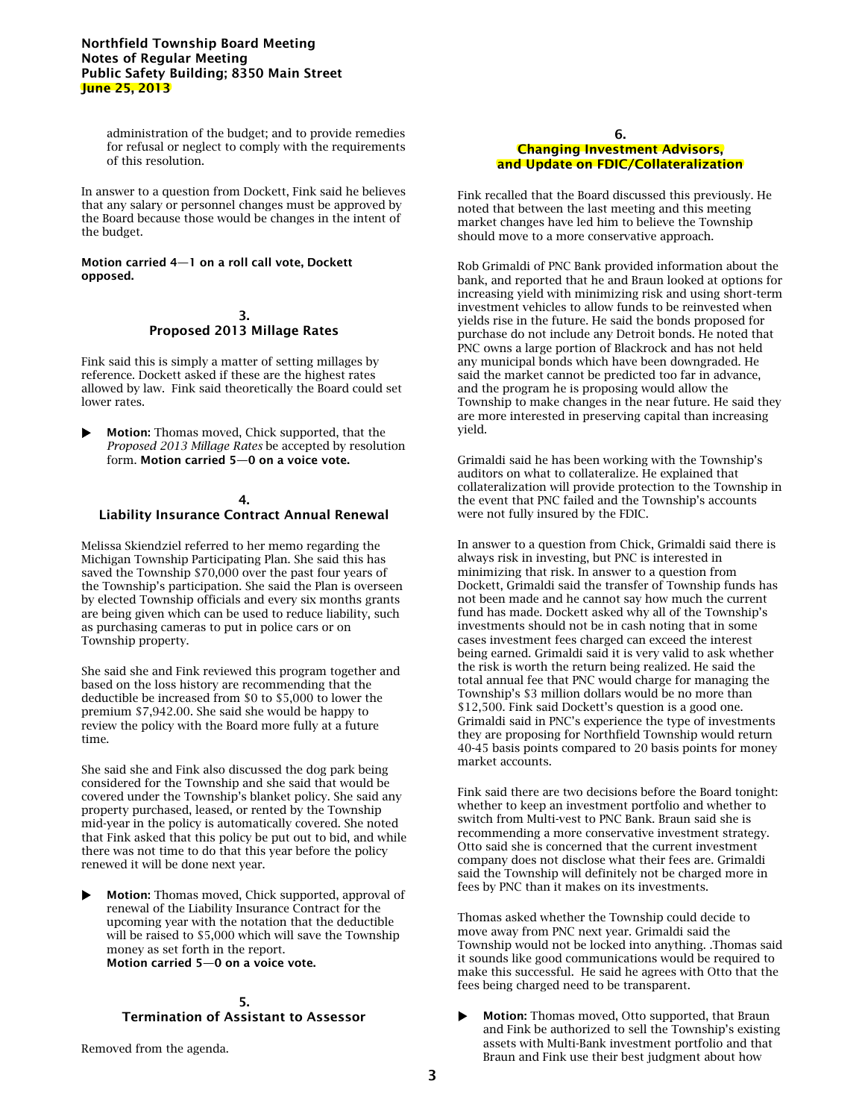## **Northfield Township Board Meeting Notes of Regular Meeting Public Safety Building; 8350 Main Street June 25, 2013**

administration of the budget; and to provide remedies for refusal or neglect to comply with the requirements of this resolution.

In answer to a question from Dockett, Fink said he believes that any salary or personnel changes must be approved by the Board because those would be changes in the intent of the budget.

#### **Motion carried 4—1 on a roll call vote, Dockett opposed.**

#### **3. Proposed 2013 Millage Rates**

Fink said this is simply a matter of setting millages by reference. Dockett asked if these are the highest rates allowed by law. Fink said theoretically the Board could set lower rates.

 **Motion:** Thomas moved, Chick supported, that the *Proposed 2013 Millage Rates* be accepted by resolution form. **Motion carried 5—0 on a voice vote.**

#### **4.**

## **Liability Insurance Contract Annual Renewal**

Melissa Skiendziel referred to her memo regarding the Michigan Township Participating Plan. She said this has saved the Township \$70,000 over the past four years of the Township's participation. She said the Plan is overseen by elected Township officials and every six months grants are being given which can be used to reduce liability, such as purchasing cameras to put in police cars or on Township property.

She said she and Fink reviewed this program together and based on the loss history are recommending that the deductible be increased from \$0 to \$5,000 to lower the premium \$7,942.00. She said she would be happy to review the policy with the Board more fully at a future time.

She said she and Fink also discussed the dog park being considered for the Township and she said that would be covered under the Township's blanket policy. She said any property purchased, leased, or rented by the Township mid-year in the policy is automatically covered. She noted that Fink asked that this policy be put out to bid, and while there was not time to do that this year before the policy renewed it will be done next year.

 **Motion:** Thomas moved, Chick supported, approval of renewal of the Liability Insurance Contract for the upcoming year with the notation that the deductible will be raised to \$5,000 which will save the Township money as set forth in the report. **Motion carried 5—0 on a voice vote.**

# **5. Termination of Assistant to Assessor**

Removed from the agenda.

### **6. Changing Investment Advisors, and Update on FDIC/Collateralization**

Fink recalled that the Board discussed this previously. He noted that between the last meeting and this meeting market changes have led him to believe the Township should move to a more conservative approach.

Rob Grimaldi of PNC Bank provided information about the bank, and reported that he and Braun looked at options for increasing yield with minimizing risk and using short-term investment vehicles to allow funds to be reinvested when yields rise in the future. He said the bonds proposed for purchase do not include any Detroit bonds. He noted that PNC owns a large portion of Blackrock and has not held any municipal bonds which have been downgraded. He said the market cannot be predicted too far in advance, and the program he is proposing would allow the Township to make changes in the near future. He said they are more interested in preserving capital than increasing yield.

Grimaldi said he has been working with the Township's auditors on what to collateralize. He explained that collateralization will provide protection to the Township in the event that PNC failed and the Township's accounts were not fully insured by the FDIC.

In answer to a question from Chick, Grimaldi said there is always risk in investing, but PNC is interested in minimizing that risk. In answer to a question from Dockett, Grimaldi said the transfer of Township funds has not been made and he cannot say how much the current fund has made. Dockett asked why all of the Township's investments should not be in cash noting that in some cases investment fees charged can exceed the interest being earned. Grimaldi said it is very valid to ask whether the risk is worth the return being realized. He said the total annual fee that PNC would charge for managing the Township's \$3 million dollars would be no more than \$12,500. Fink said Dockett's question is a good one. Grimaldi said in PNC's experience the type of investments they are proposing for Northfield Township would return 40-45 basis points compared to 20 basis points for money market accounts.

Fink said there are two decisions before the Board tonight: whether to keep an investment portfolio and whether to switch from Multi-vest to PNC Bank. Braun said she is recommending a more conservative investment strategy. Otto said she is concerned that the current investment company does not disclose what their fees are. Grimaldi said the Township will definitely not be charged more in fees by PNC than it makes on its investments.

Thomas asked whether the Township could decide to move away from PNC next year. Grimaldi said the Township would not be locked into anything. .Thomas said it sounds like good communications would be required to make this successful. He said he agrees with Otto that the fees being charged need to be transparent.

 **Motion:** Thomas moved, Otto supported, that Braun and Fink be authorized to sell the Township's existing assets with Multi-Bank investment portfolio and that Braun and Fink use their best judgment about how